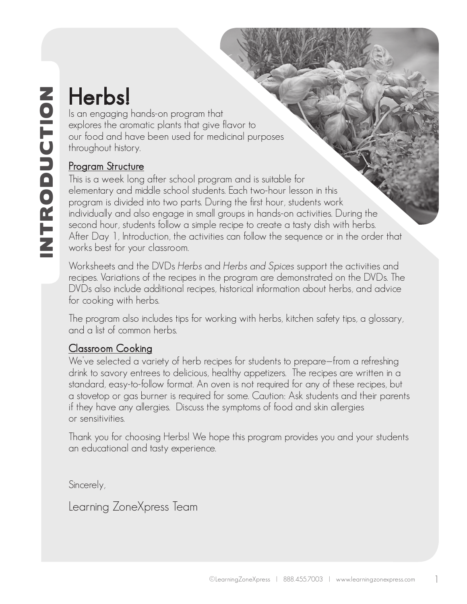Is an engaging hands-on program that explores the aromatic plants that give flavor to our food and have been used for medicinal purposes throughout history.

## Program Structure

**IS an engaging explores the arc** our food and h<br>throughout histcour food and h<br>throughout histcour of throughout histcours<br>Program Struct This is a week k<br>elementary and program is divided bour, studied second hour, studi This is a week long after school program and is suitable for elementary and middle school students. Each two-hour lesson in this program is divided into two parts. During the first hour, students work individually and also engage in small groups in hands-on activities. During the second hour, students follow a simple recipe to create a tasty dish with herbs. After Day 1, Introduction, the activities can follow the sequence or in the order that works best for your classroom.

Worksheets and the DVDs Herbs and Herbs and Spices support the activities and recipes. Variations of the recipes in the program are demonstrated on the DVDs. The DVDs also include additional recipes, historical information about herbs, and advice for cooking with herbs.

The program also includes tips for working with herbs, kitchen safety tips, a glossary, and a list of common herbs.

## Classroom Cooking

We've selected a variety of herb recipes for students to prepare—from a refreshing drink to savory entrees to delicious, healthy appetizers. The recipes are written in a standard, easy-to-follow format. An oven is not required for any of these recipes, but a stovetop or gas burner is required for some. Caution: Ask students and their parents if they have any allergies. Discuss the symptoms of food and skin allergies or sensitivities.

Thank you for choosing Herbs! We hope this program provides you and your students an educational and tasty experience.

Sincerely,

Learning ZoneXpress Team